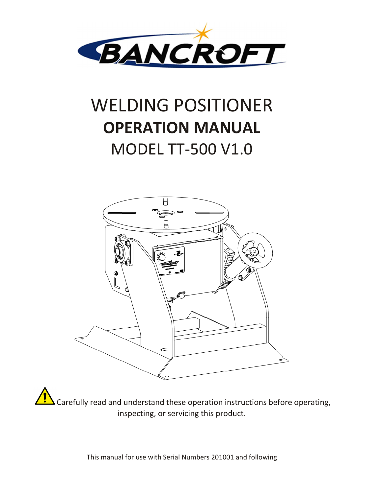

# WELDING POSITIONER **OPERATION MANUAL**  MODEL TT-500 V1.0



Carefully read and understand these operation instructions before operating, inspecting, or servicing this product.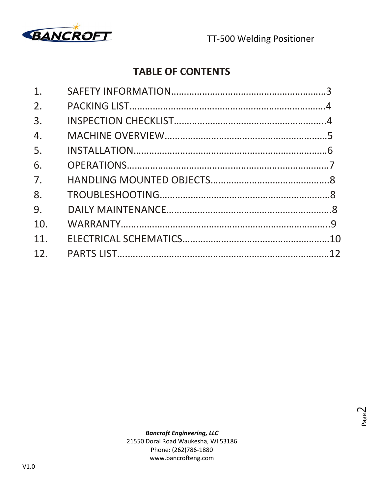

### **TABLE OF CONTENTS**

| 1.              |  |
|-----------------|--|
| 2.              |  |
| 3.              |  |
| 4.              |  |
| 5.              |  |
| 6.              |  |
| 7.              |  |
| 8.              |  |
| 9.              |  |
| 10.             |  |
| 11.             |  |
| 12 <sub>1</sub> |  |
|                 |  |

Page  $\mathrel{\sim}$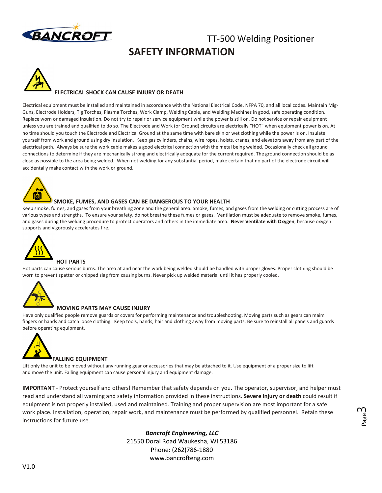

### TT-500 Welding Positioner **SAFETY INFORMATION**



#### **ELECTRICAL SHOCK CAN CAUSE INJURY OR DEATH**

Electrical equipment must be installed and maintained in accordance with the National Electrical Code, NFPA 70, and all local codes. Maintain Mig-Guns, Electrode Holders, Tig Torches, Plasma Torches, Work Clamp, Welding Cable, and Welding Machines in good, safe operating condition. Replace worn or damaged insulation. Do not try to repair or service equipment while the power is still on. Do not service or repair equipment unless you are trained and qualified to do so. The Electrode and Work (or Ground) circuits are electrically "HOT" when equipment power is on. At no time should you touch the Electrode and Electrical Ground at the same time with bare skin or wet clothing while the power is on. Insulate yourself from work and ground using dry insulation. Keep gas cylinders, chains, wire ropes, hoists, cranes, and elevators away from any part of the electrical path. Always be sure the work cable makes a good electrical connection with the metal being welded. Occasionally check all ground connections to determine if they are mechanically strong and electrically adequate for the current required. The ground connection should be as close as possible to the area being welded. When not welding for any substantial period, make certain that no part of the electrode circuit will accidentally make contact with the work or ground.



#### **SMOKE, FUMES, AND GASES CAN BE DANGEROUS TO YOUR HEALTH**

Keep smoke, fumes, and gases from your breathing zone and the general area. Smoke, fumes, and gases from the welding or cutting process are of various types and strengths. To ensure your safety, do not breathe these fumes or gases. Ventilation must be adequate to remove smoke, fumes, and gases during the welding procedure to protect operators and others in the immediate area. **Never Ventilate with Oxygen**, because oxygen supports and vigorously accelerates fire.



#### **HOT PARTS**

Hot parts can cause serious burns. The area at and near the work being welded should be handled with proper gloves. Proper clothing should be worn to prevent spatter or chipped slag from causing burns. Never pick up welded material until it has properly cooled.



#### **MOVING PARTS MAY CAUSE INJURY**

Have only qualified people remove guards or covers for performing maintenance and troubleshooting. Moving parts such as gears can maim fingers or hands and catch loose clothing. Keep tools, hands, hair and clothing away from moving parts. Be sure to reinstall all panels and guards before operating equipment.



Lift only the unit to be moved without any running gear or accessories that may be attached to it. Use equipment of a proper size to lift and move the unit. Falling equipment can cause personal injury and equipment damage.

**IMPORTANT** - Protect yourself and others! Remember that safety depends on you. The operator, supervisor, and helper must read and understand all warning and safety information provided in these instructions. **Severe injury or death** could result if equipment is not properly installed, used and maintained. Training and proper supervision are most important for a safe work place. Installation, operation, repair work, and maintenance must be performed by qualified personnel. Retain these instructions for future use.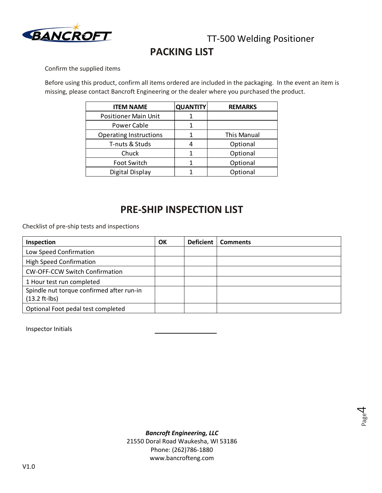

### **PACKING LIST**

Confirm the supplied items

Before using this product, confirm all items ordered are included in the packaging. In the event an item is missing, please contact Bancroft Engineering or the dealer where you purchased the product.

| <b>ITEM NAME</b>              | <b>QUANTITY</b> | <b>REMARKS</b> |
|-------------------------------|-----------------|----------------|
| <b>Positioner Main Unit</b>   |                 |                |
| Power Cable                   |                 |                |
| <b>Operating Instructions</b> |                 | This Manual    |
| T-nuts & Studs                |                 | Optional       |
| Chuck                         |                 | Optional       |
| Foot Switch                   |                 | Optional       |
| Digital Display               |                 | Optional       |

### **PRE-SHIP INSPECTION LIST**

Checklist of pre-ship tests and inspections

| Inspection                                | OK | <b>Deficient</b> | <b>Comments</b> |
|-------------------------------------------|----|------------------|-----------------|
| Low Speed Confirmation                    |    |                  |                 |
| <b>High Speed Confirmation</b>            |    |                  |                 |
| <b>CW-OFF-CCW Switch Confirmation</b>     |    |                  |                 |
| 1 Hour test run completed                 |    |                  |                 |
| Spindle nut torque confirmed after run-in |    |                  |                 |
| $(13.2 ft-lbs)$                           |    |                  |                 |
| Optional Foot pedal test completed        |    |                  |                 |

Inspector Initials

Page 4

*Bancroft Engineering, LLC*  21550 Doral Road Waukesha, WI 53186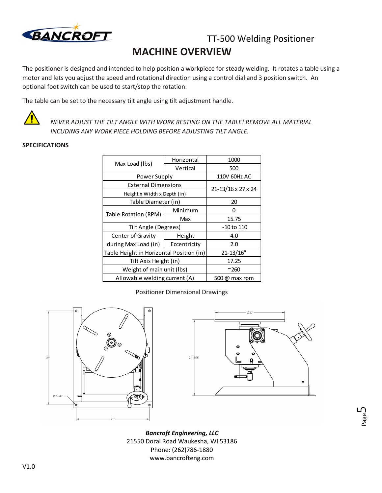

### TT-500 Welding Positioner **MACHINE OVERVIEW**

The positioner is designed and intended to help position a workpiece for steady welding. It rotates a table using a motor and lets you adjust the speed and rotational direction using a control dial and 3 position switch. An optional foot switch can be used to start/stop the rotation.

The table can be set to the necessary tilt angle using tilt adjustment handle.



*NEVER ADJUST THE TILT ANGLE WITH WORK RESTING ON THE TABLE! REMOVE ALL MATERIAL INCUDING ANY WORK PIECE HOLDING BEFORE ADJUSTING TILT ANGLE.*

### **SPECIFICATIONS**

|                                          | Horizontal         | 1000  |
|------------------------------------------|--------------------|-------|
| Max Load (lbs)                           | Vertical           | 500   |
| Power Supply                             | 110V 60Hz AC       |       |
| <b>External Dimensions</b>               |                    |       |
| Height x Width x Depth (in)              | 21-13/16 x 27 x 24 |       |
| Table Diameter (in)                      | 20                 |       |
| Table Rotation (RPM)                     | Minimum            | O     |
|                                          | Max                | 15.75 |
| Tilt Angle (Degrees)                     | -10 to 110         |       |
| Center of Gravity                        | Height             | 4.0   |
| during Max Load (in)                     | Eccentricity       | 2.0   |
| Table Height in Horizontal Position (in) | 21-13/16"          |       |
| Tilt Axis Height (in)                    | 17.25              |       |
| Weight of main unit (Ibs)                | $^{\sim}$ 260      |       |
| Allowable welding current (A)            | 500 @ max rpm      |       |

Positioner Dimensional Drawings





Page ഥ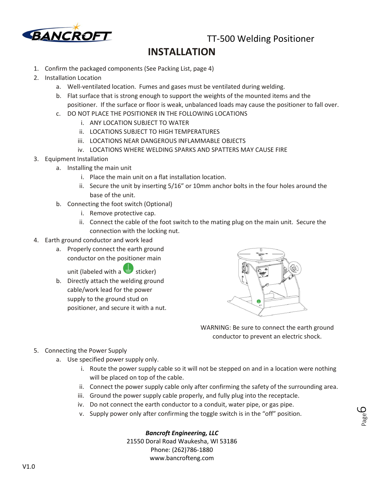

TT-500 Welding Positioner

### **INSTALLATION**

- 1. Confirm the packaged components (See Packing List, page 4)
- 2. Installation Location
	- a. Well-ventilated location. Fumes and gases must be ventilated during welding.
	- b. Flat surface that is strong enough to support the weights of the mounted items and the positioner. If the surface or floor is weak, unbalanced loads may cause the positioner to fall over.
	- c. DO NOT PLACE THE POSITIONER IN THE FOLLOWING LOCATIONS
		- i. ANY LOCATION SUBJECT TO WATER
		- ii. LOCATIONS SUBJECT TO HIGH TEMPERATURES
		- iii. LOCATIONS NEAR DANGEROUS INFLAMMABLE OBJECTS
		- iv. LOCATIONS WHERE WELDING SPARKS AND SPATTERS MAY CAUSE FIRE
- 3. Equipment Installation
	- a. Installing the main unit
		- i. Place the main unit on a flat installation location.
		- ii. Secure the unit by inserting 5/16" or 10mm anchor bolts in the four holes around the base of the unit.
	- b. Connecting the foot switch (Optional)
		- i. Remove protective cap.
		- ii. Connect the cable of the foot switch to the mating plug on the main unit. Secure the connection with the locking nut.
- 4. Earth ground conductor and work lead
	- a. Properly connect the earth ground conductor on the positioner main

unit (labeled with a sticker)

b. Directly attach the welding ground cable/work lead for the power supply to the ground stud on positioner, and secure it with a nut.



WARNING: Be sure to connect the earth ground conductor to prevent an electric shock.

> Page ص

- 5. Connecting the Power Supply
	- a. Use specified power supply only.
		- i. Route the power supply cable so it will not be stepped on and in a location were nothing will be placed on top of the cable.
		- ii. Connect the power supply cable only after confirming the safety of the surrounding area.
		- iii. Ground the power supply cable properly, and fully plug into the receptacle.
		- iv. Do not connect the earth conductor to a conduit, water pipe, or gas pipe.
		- v. Supply power only after confirming the toggle switch is in the "off" position.

### *Bancroft Engineering, LLC*

21550 Doral Road Waukesha, WI 53186 Phone: (262)786-1880 www.bancrofteng.com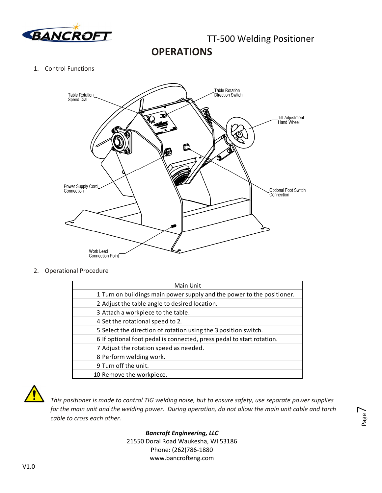

**OPERATIONS** 

1. Control Functions



2. Operational Procedure

| Main Unit |                                                                        |  |  |
|-----------|------------------------------------------------------------------------|--|--|
|           | 1 Turn on buildings main power supply and the power to the positioner. |  |  |
|           | 2 Adjust the table angle to desired location.                          |  |  |
|           | 3 Attach a workpiece to the table.                                     |  |  |
|           | 4 Set the rotational speed to 2.                                       |  |  |
|           | 5 Select the direction of rotation using the 3 position switch.        |  |  |
|           | 6 If optional foot pedal is connected, press pedal to start rotation.  |  |  |
|           | 7 Adjust the rotation speed as needed.                                 |  |  |
|           | 8 Perform welding work.                                                |  |  |
|           | 9Turn off the unit.                                                    |  |  |
|           | 10 Remove the workpiece.                                               |  |  |



*This positioner is made to control TIG welding noise, but to ensure safety, use separate power supplies for the main unit and the welding power. During operation, do not allow the main unit cable and torch cable to cross each other.* 

Page  $\overline{\phantom{1}}$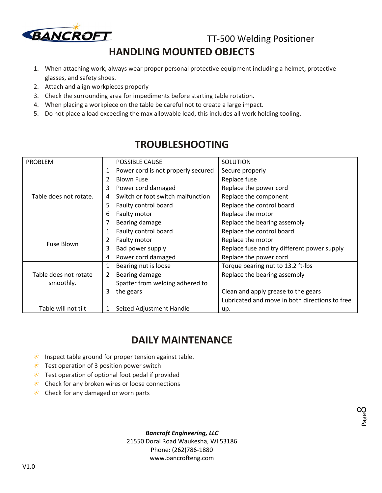

TT-500 Welding Positioner

Page  $\infty$ 

### **HANDLING MOUNTED OBJECTS**

- 1. When attaching work, always wear proper personal protective equipment including a helmet, protective glasses, and safety shoes.
- 2. Attach and align workpieces properly
- 3. Check the surrounding area for impediments before starting table rotation.
- 4. When placing a workpiece on the table be careful not to create a large impact.
- 5. Do not place a load exceeding the max allowable load, this includes all work holding tooling.

| PROBLEM                                              |              | POSSIBLE CAUSE                     | SOLUTION                                       |
|------------------------------------------------------|--------------|------------------------------------|------------------------------------------------|
|                                                      | $\mathbf{1}$ | Power cord is not properly secured | Secure properly                                |
|                                                      |              | <b>Blown Fuse</b>                  | Replace fuse                                   |
|                                                      | 3            | Power cord damaged                 | Replace the power cord                         |
| Table does not rotate.                               | 4            | Switch or foot switch malfunction  | Replace the component                          |
|                                                      | 5.           | Faulty control board               | Replace the control board                      |
|                                                      | 6            | Faulty motor                       | Replace the motor                              |
|                                                      |              | Bearing damage                     | Replace the bearing assembly                   |
|                                                      | 1            | Faulty control board               | Replace the control board                      |
| <b>Fuse Blown</b>                                    |              | Faulty motor                       | Replace the motor                              |
|                                                      | 3            | Bad power supply                   | Replace fuse and try different power supply    |
|                                                      | 4            | Power cord damaged                 | Replace the power cord                         |
|                                                      | 1            | Bearing nut is loose               | Torque bearing nut to 13.2 ft-lbs              |
| Table does not rotate                                | 2            | Bearing damage                     | Replace the bearing assembly                   |
| smoothly.                                            |              | Spatter from welding adhered to    |                                                |
|                                                      | 3            | the gears                          | Clean and apply grease to the gears            |
|                                                      |              |                                    | Lubricated and move in both directions to free |
| Table will not tilt<br>Seized Adjustment Handle<br>1 |              |                                    | up.                                            |

### **TROUBLESHOOTING**

### **DAILY MAINTENANCE**

- $*$  Inspect table ground for proper tension against table.
- $*$  Test operation of 3 position power switch
- $\star$  Test operation of optional foot pedal if provided
- $\star$  Check for any broken wires or loose connections
- $\star$  Check for any damaged or worn parts

*Bancroft Engineering, LLC* 

21550 Doral Road Waukesha, WI 53186 Phone: (262)786-1880 www.bancrofteng.com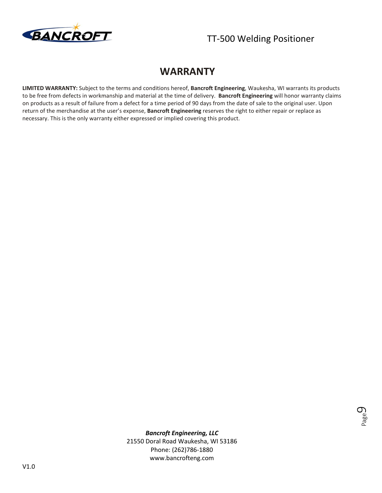

### **WARRANTY**

**LIMITED WARRANTY:** Subject to the terms and conditions hereof, **Bancroft Engineering**, Waukesha, WI warrants its products to be free from defects in workmanship and material at the time of delivery. **Bancroft Engineering** will honor warranty claims on products as a result of failure from a defect for a time period of 90 days from the date of sale to the original user. Upon return of the merchandise at the user's expense, **Bancroft Engineering** reserves the right to either repair or replace as necessary. This is the only warranty either expressed or implied covering this product.



*Bancroft Engineering, LLC*  21550 Doral Road Waukesha, WI 53186 Phone: (262)786-1880

www.bancrofteng.com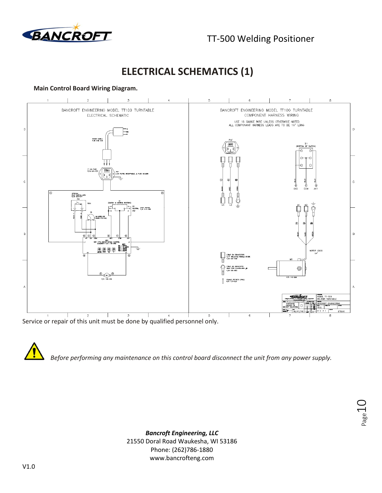

Page 1

## **ELECTRICAL SCHEMATICS (1)**

### **Main Control Board Wiring Diagram.**



*Before performing any maintenance on this control board disconnect the unit from any power supply.*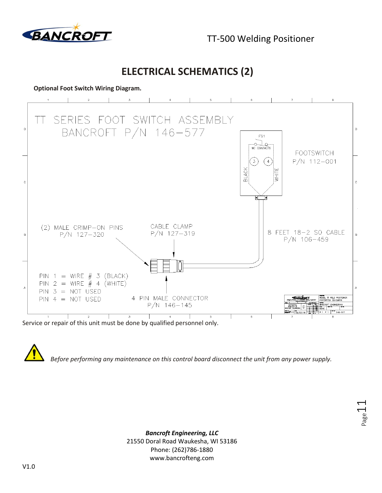

TT-500 Welding Positioner

Page.

### **ELECTRICAL SCHEMATICS (2)**

### **Optional Foot Switch Wiring Diagram.**



Service or repair of this unit must be done by qualified personnel only.

*Before performing any maintenance on this control board disconnect the unit from any power supply.*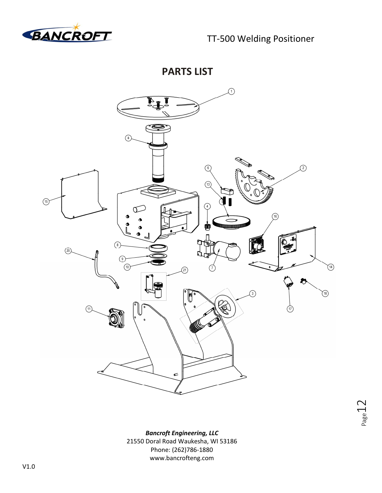

**PARTS LIST** 



Page 12